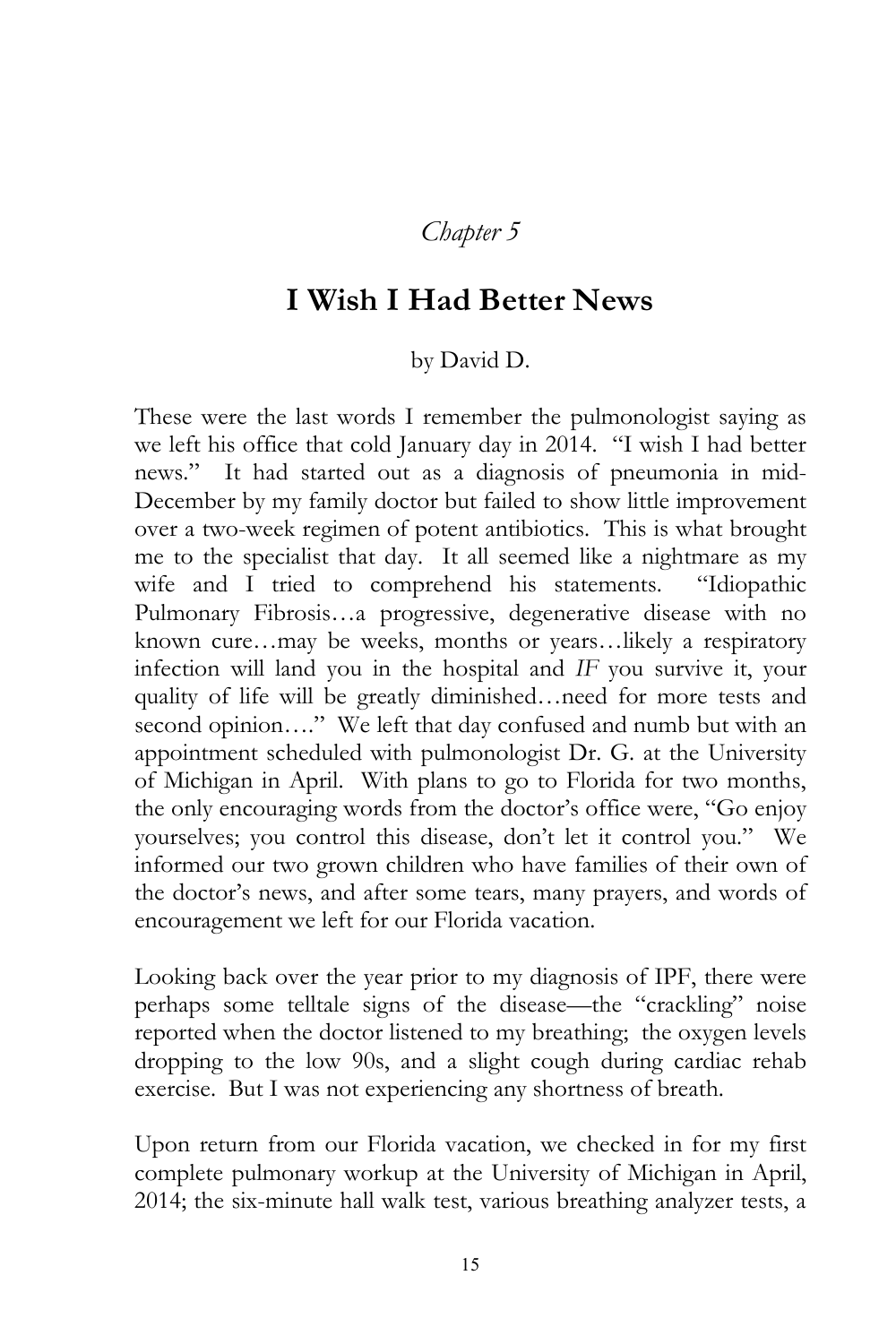## *Chapter 5*

## **I Wish I Had Better News**

## by David D.

These were the last words I remember the pulmonologist saying as we left his office that cold January day in 2014. "I wish I had better news." It had started out as a diagnosis of pneumonia in mid-December by my family doctor but failed to show little improvement over a two-week regimen of potent antibiotics. This is what brought me to the specialist that day. It all seemed like a nightmare as my wife and I tried to comprehend his statements. "Idiopathic Pulmonary Fibrosis…a progressive, degenerative disease with no known cure…may be weeks, months or years…likely a respiratory infection will land you in the hospital and *IF* you survive it, your quality of life will be greatly diminished…need for more tests and second opinion...." We left that day confused and numb but with an appointment scheduled with pulmonologist Dr. G. at the University of Michigan in April. With plans to go to Florida for two months, the only encouraging words from the doctor's office were, "Go enjoy yourselves; you control this disease, don't let it control you." We informed our two grown children who have families of their own of the doctor's news, and after some tears, many prayers, and words of encouragement we left for our Florida vacation.

Looking back over the year prior to my diagnosis of IPF, there were perhaps some telltale signs of the disease—the "crackling" noise reported when the doctor listened to my breathing; the oxygen levels dropping to the low 90s, and a slight cough during cardiac rehab exercise. But I was not experiencing any shortness of breath.

Upon return from our Florida vacation, we checked in for my first complete pulmonary workup at the University of Michigan in April, 2014; the six-minute hall walk test, various breathing analyzer tests, a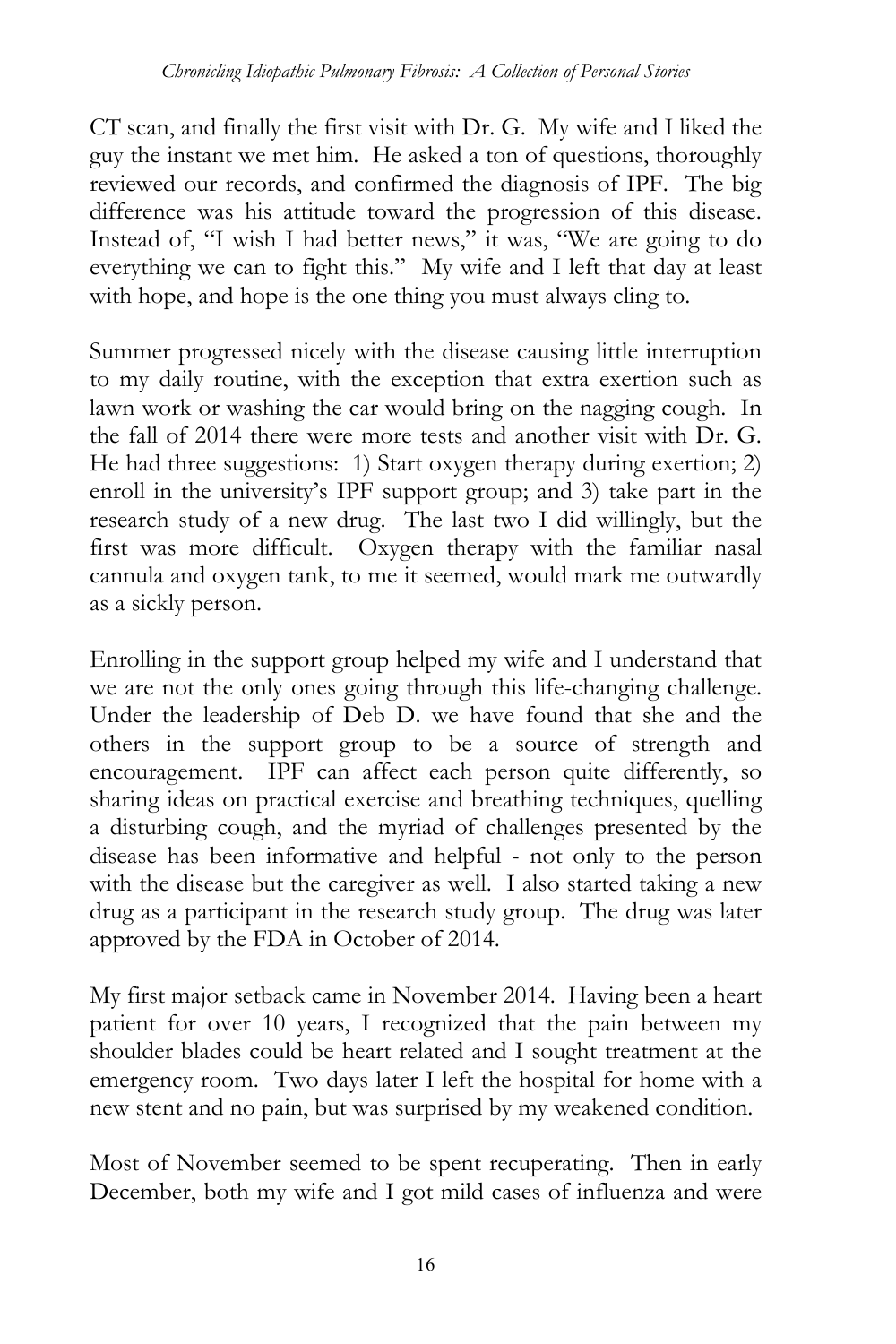CT scan, and finally the first visit with Dr. G. My wife and I liked the guy the instant we met him. He asked a ton of questions, thoroughly reviewed our records, and confirmed the diagnosis of IPF. The big difference was his attitude toward the progression of this disease. Instead of, "I wish I had better news," it was, "We are going to do everything we can to fight this." My wife and I left that day at least with hope, and hope is the one thing you must always cling to.

Summer progressed nicely with the disease causing little interruption to my daily routine, with the exception that extra exertion such as lawn work or washing the car would bring on the nagging cough. In the fall of 2014 there were more tests and another visit with Dr. G. He had three suggestions: 1) Start oxygen therapy during exertion; 2) enroll in the university's IPF support group; and 3) take part in the research study of a new drug. The last two I did willingly, but the first was more difficult. Oxygen therapy with the familiar nasal cannula and oxygen tank, to me it seemed, would mark me outwardly as a sickly person.

Enrolling in the support group helped my wife and I understand that we are not the only ones going through this life-changing challenge. Under the leadership of Deb D. we have found that she and the others in the support group to be a source of strength and encouragement. IPF can affect each person quite differently, so sharing ideas on practical exercise and breathing techniques, quelling a disturbing cough, and the myriad of challenges presented by the disease has been informative and helpful - not only to the person with the disease but the caregiver as well. I also started taking a new drug as a participant in the research study group. The drug was later approved by the FDA in October of 2014.

My first major setback came in November 2014. Having been a heart patient for over 10 years, I recognized that the pain between my shoulder blades could be heart related and I sought treatment at the emergency room. Two days later I left the hospital for home with a new stent and no pain, but was surprised by my weakened condition.

Most of November seemed to be spent recuperating. Then in early December, both my wife and I got mild cases of influenza and were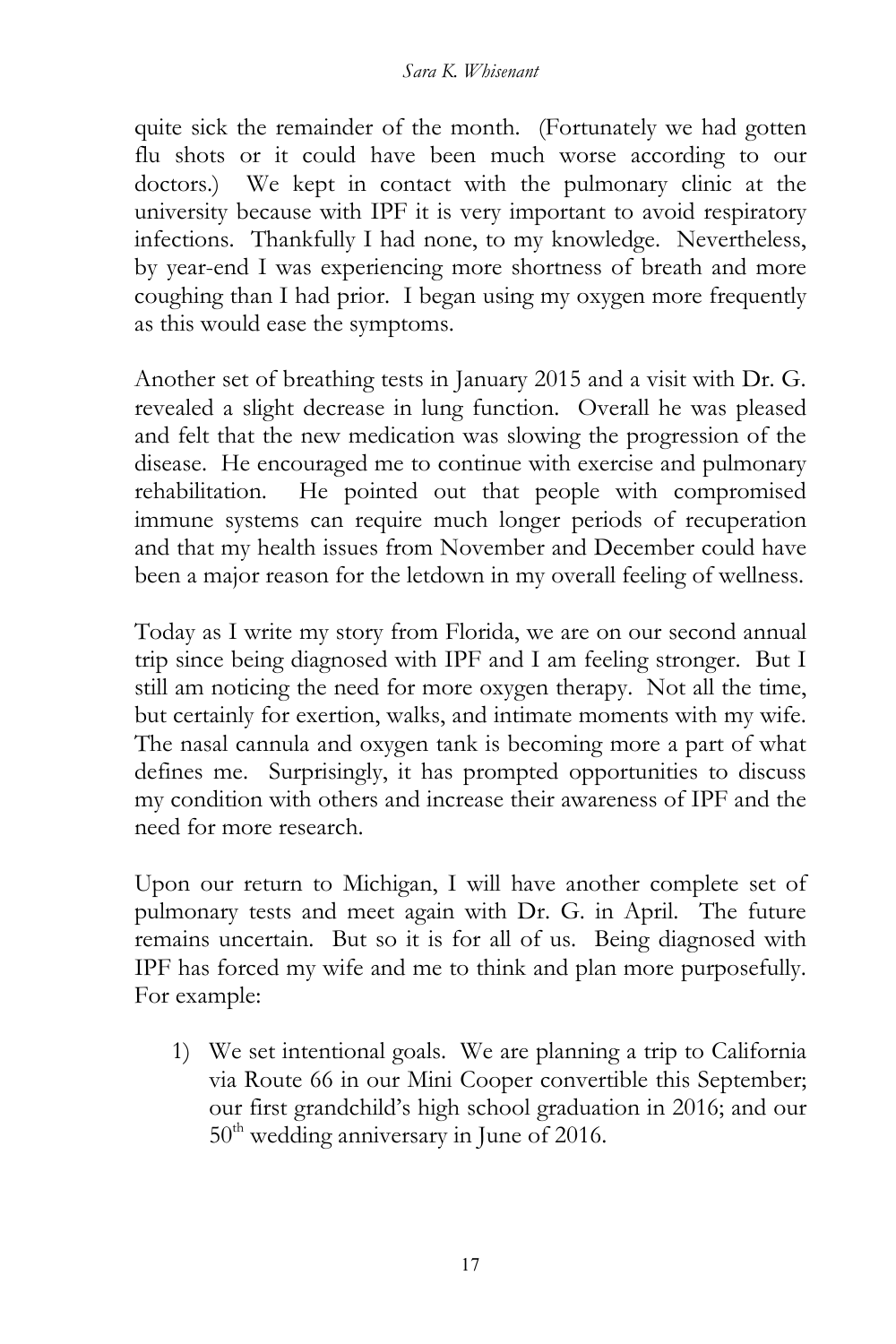quite sick the remainder of the month. (Fortunately we had gotten flu shots or it could have been much worse according to our doctors.) We kept in contact with the pulmonary clinic at the university because with IPF it is very important to avoid respiratory infections. Thankfully I had none, to my knowledge. Nevertheless, by year-end I was experiencing more shortness of breath and more coughing than I had prior. I began using my oxygen more frequently as this would ease the symptoms.

Another set of breathing tests in January 2015 and a visit with Dr. G. revealed a slight decrease in lung function. Overall he was pleased and felt that the new medication was slowing the progression of the disease. He encouraged me to continue with exercise and pulmonary rehabilitation. He pointed out that people with compromised immune systems can require much longer periods of recuperation and that my health issues from November and December could have been a major reason for the letdown in my overall feeling of wellness.

Today as I write my story from Florida, we are on our second annual trip since being diagnosed with IPF and I am feeling stronger. But I still am noticing the need for more oxygen therapy. Not all the time, but certainly for exertion, walks, and intimate moments with my wife. The nasal cannula and oxygen tank is becoming more a part of what defines me. Surprisingly, it has prompted opportunities to discuss my condition with others and increase their awareness of IPF and the need for more research.

Upon our return to Michigan, I will have another complete set of pulmonary tests and meet again with Dr. G. in April. The future remains uncertain. But so it is for all of us. Being diagnosed with IPF has forced my wife and me to think and plan more purposefully. For example:

1) We set intentional goals. We are planning a trip to California via Route 66 in our Mini Cooper convertible this September; our first grandchild's high school graduation in 2016; and our  $50<sup>th</sup>$  wedding anniversary in June of 2016.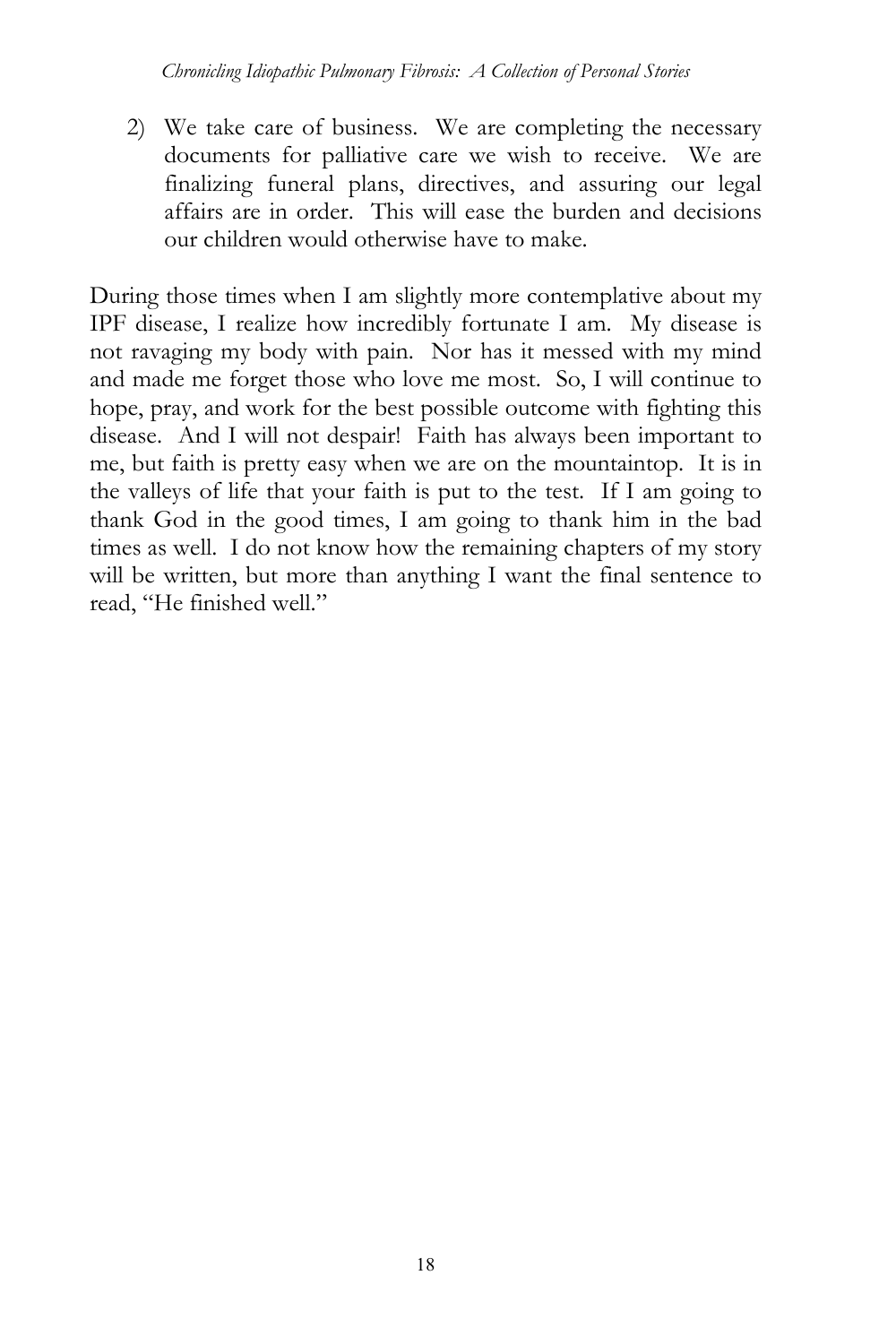2) We take care of business. We are completing the necessary documents for palliative care we wish to receive. We are finalizing funeral plans, directives, and assuring our legal affairs are in order. This will ease the burden and decisions our children would otherwise have to make.

During those times when I am slightly more contemplative about my IPF disease, I realize how incredibly fortunate I am. My disease is not ravaging my body with pain. Nor has it messed with my mind and made me forget those who love me most. So, I will continue to hope, pray, and work for the best possible outcome with fighting this disease. And I will not despair! Faith has always been important to me, but faith is pretty easy when we are on the mountaintop. It is in the valleys of life that your faith is put to the test. If I am going to thank God in the good times, I am going to thank him in the bad times as well. I do not know how the remaining chapters of my story will be written, but more than anything I want the final sentence to read, "He finished well."